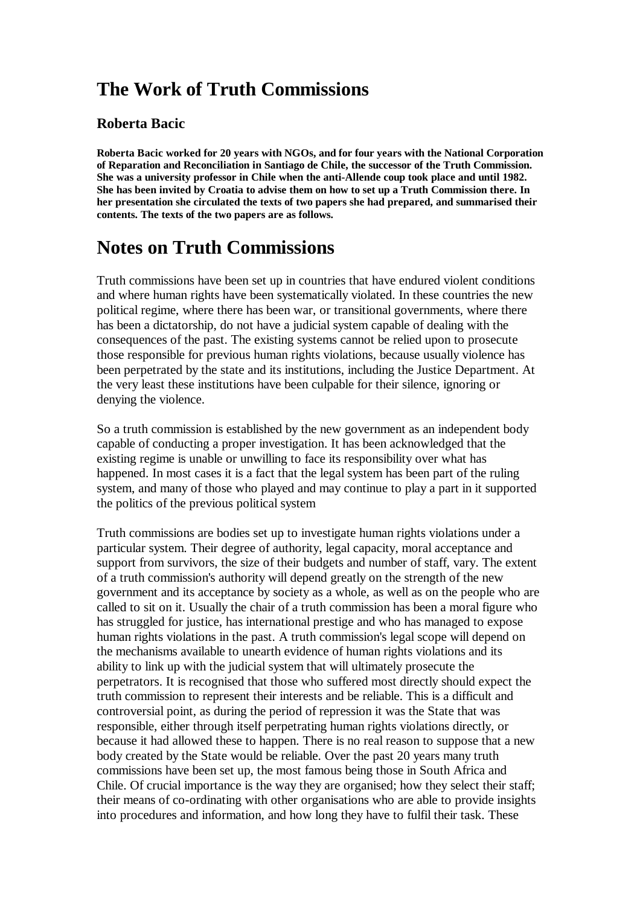## **The Work of Truth Commissions**

#### **Roberta Bacic**

**Roberta Bacic worked for 20 years with NGOs, and for four years with the National Corporation of Reparation and Reconciliation in Santiago de Chile, the successor of the Truth Commission. She was a university professor in Chile when the anti-Allende coup took place and until 1982. She has been invited by Croatia to advise them on how to set up a Truth Commission there. In her presentation she circulated the texts of two papers she had prepared, and summarised their contents. The texts of the two papers are as follows.** 

## **Notes on Truth Commissions**

Truth commissions have been set up in countries that have endured violent conditions and where human rights have been systematically violated. In these countries the new political regime, where there has been war, or transitional governments, where there has been a dictatorship, do not have a judicial system capable of dealing with the consequences of the past. The existing systems cannot be relied upon to prosecute those responsible for previous human rights violations, because usually violence has been perpetrated by the state and its institutions, including the Justice Department. At the very least these institutions have been culpable for their silence, ignoring or denying the violence.

So a truth commission is established by the new government as an independent body capable of conducting a proper investigation. It has been acknowledged that the existing regime is unable or unwilling to face its responsibility over what has happened. In most cases it is a fact that the legal system has been part of the ruling system, and many of those who played and may continue to play a part in it supported the politics of the previous political system

Truth commissions are bodies set up to investigate human rights violations under a particular system. Their degree of authority, legal capacity, moral acceptance and support from survivors, the size of their budgets and number of staff, vary. The extent of a truth commission's authority will depend greatly on the strength of the new government and its acceptance by society as a whole, as well as on the people who are called to sit on it. Usually the chair of a truth commission has been a moral figure who has struggled for justice, has international prestige and who has managed to expose human rights violations in the past. A truth commission's legal scope will depend on the mechanisms available to unearth evidence of human rights violations and its ability to link up with the judicial system that will ultimately prosecute the perpetrators. It is recognised that those who suffered most directly should expect the truth commission to represent their interests and be reliable. This is a difficult and controversial point, as during the period of repression it was the State that was responsible, either through itself perpetrating human rights violations directly, or because it had allowed these to happen. There is no real reason to suppose that a new body created by the State would be reliable. Over the past 20 years many truth commissions have been set up, the most famous being those in South Africa and Chile. Of crucial importance is the way they are organised; how they select their staff; their means of co-ordinating with other organisations who are able to provide insights into procedures and information, and how long they have to fulfil their task. These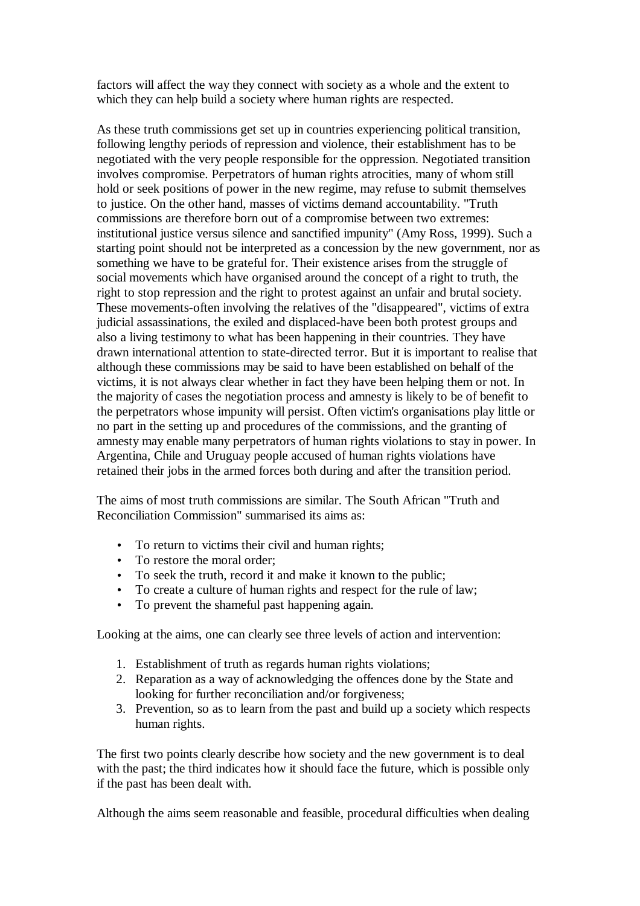factors will affect the way they connect with society as a whole and the extent to which they can help build a society where human rights are respected.

As these truth commissions get set up in countries experiencing political transition, following lengthy periods of repression and violence, their establishment has to be negotiated with the very people responsible for the oppression. Negotiated transition involves compromise. Perpetrators of human rights atrocities, many of whom still hold or seek positions of power in the new regime, may refuse to submit themselves to justice. On the other hand, masses of victims demand accountability. "Truth commissions are therefore born out of a compromise between two extremes: institutional justice versus silence and sanctified impunity" (Amy Ross, 1999). Such a starting point should not be interpreted as a concession by the new government, nor as something we have to be grateful for. Their existence arises from the struggle of social movements which have organised around the concept of a right to truth, the right to stop repression and the right to protest against an unfair and brutal society. These movements-often involving the relatives of the "disappeared", victims of extra judicial assassinations, the exiled and displaced-have been both protest groups and also a living testimony to what has been happening in their countries. They have drawn international attention to state-directed terror. But it is important to realise that although these commissions may be said to have been established on behalf of the victims, it is not always clear whether in fact they have been helping them or not. In the majority of cases the negotiation process and amnesty is likely to be of benefit to the perpetrators whose impunity will persist. Often victim's organisations play little or no part in the setting up and procedures of the commissions, and the granting of amnesty may enable many perpetrators of human rights violations to stay in power. In Argentina, Chile and Uruguay people accused of human rights violations have retained their jobs in the armed forces both during and after the transition period.

The aims of most truth commissions are similar. The South African "Truth and Reconciliation Commission" summarised its aims as:

- To return to victims their civil and human rights;
- To restore the moral order:
- To seek the truth, record it and make it known to the public;
- To create a culture of human rights and respect for the rule of law;
- To prevent the shameful past happening again.

Looking at the aims, one can clearly see three levels of action and intervention:

- 1. Establishment of truth as regards human rights violations;
- 2. Reparation as a way of acknowledging the offences done by the State and looking for further reconciliation and/or forgiveness;
- 3. Prevention, so as to learn from the past and build up a society which respects human rights.

The first two points clearly describe how society and the new government is to deal with the past; the third indicates how it should face the future, which is possible only if the past has been dealt with.

Although the aims seem reasonable and feasible, procedural difficulties when dealing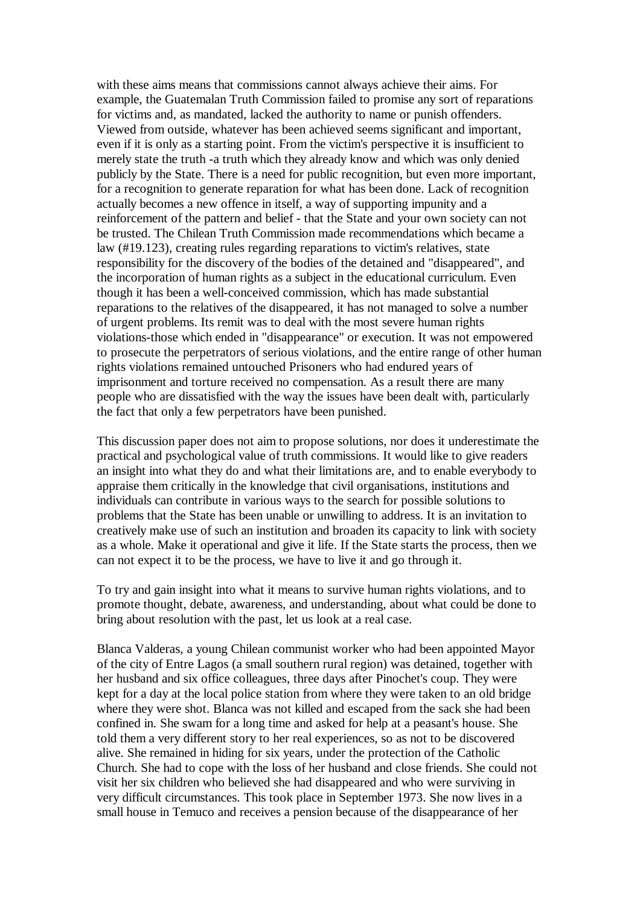with these aims means that commissions cannot always achieve their aims. For example, the Guatemalan Truth Commission failed to promise any sort of reparations for victims and, as mandated, lacked the authority to name or punish offenders. Viewed from outside, whatever has been achieved seems significant and important, even if it is only as a starting point. From the victim's perspective it is insufficient to merely state the truth -a truth which they already know and which was only denied publicly by the State. There is a need for public recognition, but even more important, for a recognition to generate reparation for what has been done. Lack of recognition actually becomes a new offence in itself, a way of supporting impunity and a reinforcement of the pattern and belief - that the State and your own society can not be trusted. The Chilean Truth Commission made recommendations which became a law (#19.123), creating rules regarding reparations to victim's relatives, state responsibility for the discovery of the bodies of the detained and "disappeared", and the incorporation of human rights as a subject in the educational curriculum. Even though it has been a well-conceived commission, which has made substantial reparations to the relatives of the disappeared, it has not managed to solve a number of urgent problems. Its remit was to deal with the most severe human rights violations-those which ended in "disappearance" or execution. It was not empowered to prosecute the perpetrators of serious violations, and the entire range of other human rights violations remained untouched Prisoners who had endured years of imprisonment and torture received no compensation. As a result there are many people who are dissatisfied with the way the issues have been dealt with, particularly the fact that only a few perpetrators have been punished.

This discussion paper does not aim to propose solutions, nor does it underestimate the practical and psychological value of truth commissions. It would like to give readers an insight into what they do and what their limitations are, and to enable everybody to appraise them critically in the knowledge that civil organisations, institutions and individuals can contribute in various ways to the search for possible solutions to problems that the State has been unable or unwilling to address. It is an invitation to creatively make use of such an institution and broaden its capacity to link with society as a whole. Make it operational and give it life. If the State starts the process, then we can not expect it to be the process, we have to live it and go through it.

To try and gain insight into what it means to survive human rights violations, and to promote thought, debate, awareness, and understanding, about what could be done to bring about resolution with the past, let us look at a real case.

Blanca Valderas, a young Chilean communist worker who had been appointed Mayor of the city of Entre Lagos (a small southern rural region) was detained, together with her husband and six office colleagues, three days after Pinochet's coup. They were kept for a day at the local police station from where they were taken to an old bridge where they were shot. Blanca was not killed and escaped from the sack she had been confined in. She swam for a long time and asked for help at a peasant's house. She told them a very different story to her real experiences, so as not to be discovered alive. She remained in hiding for six years, under the protection of the Catholic Church. She had to cope with the loss of her husband and close friends. She could not visit her six children who believed she had disappeared and who were surviving in very difficult circumstances. This took place in September 1973. She now lives in a small house in Temuco and receives a pension because of the disappearance of her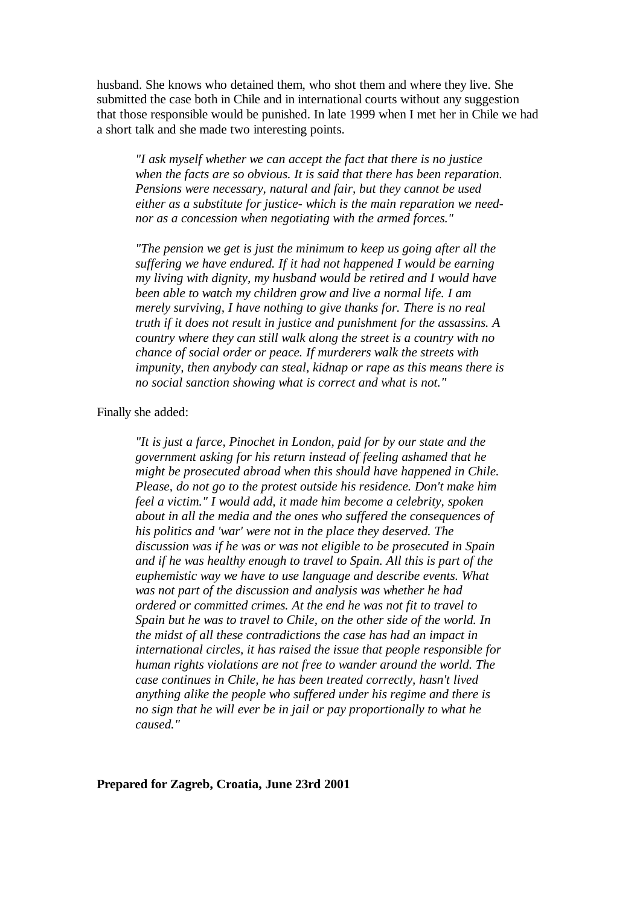husband. She knows who detained them, who shot them and where they live. She submitted the case both in Chile and in international courts without any suggestion that those responsible would be punished. In late 1999 when I met her in Chile we had a short talk and she made two interesting points.

*"I ask myself whether we can accept the fact that there is no justice when the facts are so obvious. It is said that there has been reparation. Pensions were necessary, natural and fair, but they cannot be used either as a substitute for justice- which is the main reparation we neednor as a concession when negotiating with the armed forces."*

*"The pension we get is just the minimum to keep us going after all the suffering we have endured. If it had not happened I would be earning my living with dignity, my husband would be retired and I would have been able to watch my children grow and live a normal life. I am merely surviving, I have nothing to give thanks for. There is no real truth if it does not result in justice and punishment for the assassins. A country where they can still walk along the street is a country with no chance of social order or peace. If murderers walk the streets with impunity, then anybody can steal, kidnap or rape as this means there is no social sanction showing what is correct and what is not."*

#### Finally she added:

*"It is just a farce, Pinochet in London, paid for by our state and the government asking for his return instead of feeling ashamed that he might be prosecuted abroad when this should have happened in Chile. Please, do not go to the protest outside his residence. Don't make him feel a victim." I would add, it made him become a celebrity, spoken about in all the media and the ones who suffered the consequences of his politics and 'war' were not in the place they deserved. The discussion was if he was or was not eligible to be prosecuted in Spain and if he was healthy enough to travel to Spain. All this is part of the euphemistic way we have to use language and describe events. What was not part of the discussion and analysis was whether he had ordered or committed crimes. At the end he was not fit to travel to Spain but he was to travel to Chile, on the other side of the world. In the midst of all these contradictions the case has had an impact in international circles, it has raised the issue that people responsible for human rights violations are not free to wander around the world. The case continues in Chile, he has been treated correctly, hasn't lived anything alike the people who suffered under his regime and there is no sign that he will ever be in jail or pay proportionally to what he caused."*

#### **Prepared for Zagreb, Croatia, June 23rd 2001**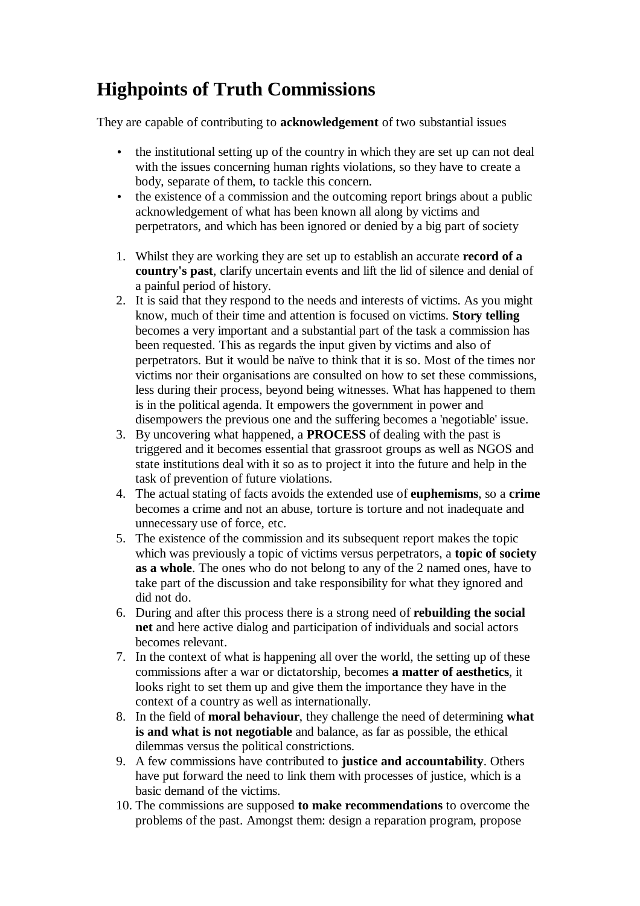# **Highpoints of Truth Commissions**

They are capable of contributing to **acknowledgement** of two substantial issues

- the institutional setting up of the country in which they are set up can not deal with the issues concerning human rights violations, so they have to create a body, separate of them, to tackle this concern.
- the existence of a commission and the outcoming report brings about a public acknowledgement of what has been known all along by victims and perpetrators, and which has been ignored or denied by a big part of society
- 1. Whilst they are working they are set up to establish an accurate **record of a country's past**, clarify uncertain events and lift the lid of silence and denial of a painful period of history.
- 2. It is said that they respond to the needs and interests of victims. As you might know, much of their time and attention is focused on victims. **Story telling** becomes a very important and a substantial part of the task a commission has been requested. This as regards the input given by victims and also of perpetrators. But it would be naïve to think that it is so. Most of the times nor victims nor their organisations are consulted on how to set these commissions, less during their process, beyond being witnesses. What has happened to them is in the political agenda. It empowers the government in power and disempowers the previous one and the suffering becomes a 'negotiable' issue.
- 3. By uncovering what happened, a **PROCESS** of dealing with the past is triggered and it becomes essential that grassroot groups as well as NGOS and state institutions deal with it so as to project it into the future and help in the task of prevention of future violations.
- 4. The actual stating of facts avoids the extended use of **euphemisms**, so a **crime** becomes a crime and not an abuse, torture is torture and not inadequate and unnecessary use of force, etc.
- 5. The existence of the commission and its subsequent report makes the topic which was previously a topic of victims versus perpetrators, a **topic of society as a whole**. The ones who do not belong to any of the 2 named ones, have to take part of the discussion and take responsibility for what they ignored and did not do.
- 6. During and after this process there is a strong need of **rebuilding the social net** and here active dialog and participation of individuals and social actors becomes relevant.
- 7. In the context of what is happening all over the world, the setting up of these commissions after a war or dictatorship, becomes **a matter of aesthetics**, it looks right to set them up and give them the importance they have in the context of a country as well as internationally.
- 8. In the field of **moral behaviour**, they challenge the need of determining **what is and what is not negotiable** and balance, as far as possible, the ethical dilemmas versus the political constrictions.
- 9. A few commissions have contributed to **justice and accountability**. Others have put forward the need to link them with processes of justice, which is a basic demand of the victims.
- 10. The commissions are supposed **to make recommendations** to overcome the problems of the past. Amongst them: design a reparation program, propose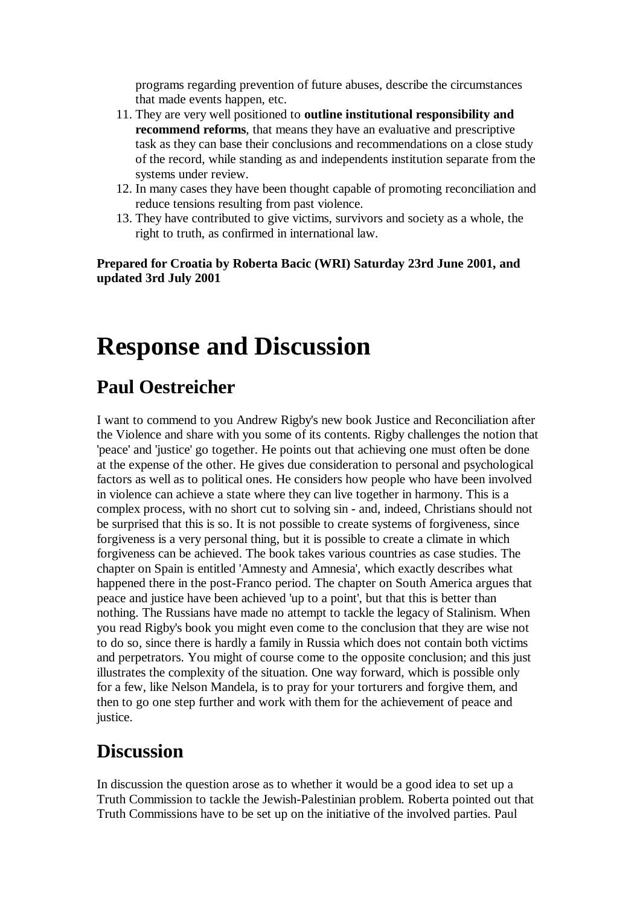programs regarding prevention of future abuses, describe the circumstances that made events happen, etc.

- 11. They are very well positioned to **outline institutional responsibility and recommend reforms**, that means they have an evaluative and prescriptive task as they can base their conclusions and recommendations on a close study of the record, while standing as and independents institution separate from the systems under review.
- 12. In many cases they have been thought capable of promoting reconciliation and reduce tensions resulting from past violence.
- 13. They have contributed to give victims, survivors and society as a whole, the right to truth, as confirmed in international law.

**Prepared for Croatia by Roberta Bacic (WRI) Saturday 23rd June 2001, and updated 3rd July 2001** 

# **Response and Discussion**

## **Paul Oestreicher**

I want to commend to you Andrew Rigby's new book Justice and Reconciliation after the Violence and share with you some of its contents. Rigby challenges the notion that 'peace' and 'justice' go together. He points out that achieving one must often be done at the expense of the other. He gives due consideration to personal and psychological factors as well as to political ones. He considers how people who have been involved in violence can achieve a state where they can live together in harmony. This is a complex process, with no short cut to solving sin - and, indeed, Christians should not be surprised that this is so. It is not possible to create systems of forgiveness, since forgiveness is a very personal thing, but it is possible to create a climate in which forgiveness can be achieved. The book takes various countries as case studies. The chapter on Spain is entitled 'Amnesty and Amnesia', which exactly describes what happened there in the post-Franco period. The chapter on South America argues that peace and justice have been achieved 'up to a point', but that this is better than nothing. The Russians have made no attempt to tackle the legacy of Stalinism. When you read Rigby's book you might even come to the conclusion that they are wise not to do so, since there is hardly a family in Russia which does not contain both victims and perpetrators. You might of course come to the opposite conclusion; and this just illustrates the complexity of the situation. One way forward, which is possible only for a few, like Nelson Mandela, is to pray for your torturers and forgive them, and then to go one step further and work with them for the achievement of peace and justice.

## **Discussion**

In discussion the question arose as to whether it would be a good idea to set up a Truth Commission to tackle the Jewish-Palestinian problem. Roberta pointed out that Truth Commissions have to be set up on the initiative of the involved parties. Paul